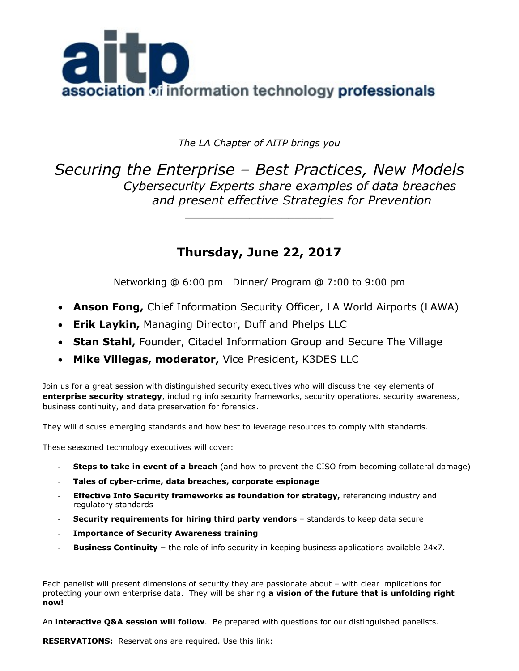

*The LA Chapter of AITP brings you*

*Securing the Enterprise – Best Practices, New Models Cybersecurity Experts share examples of data breaches and present effective Strategies for Prevention*

\_\_\_\_\_\_\_\_\_\_\_\_\_\_\_\_\_\_\_\_\_\_\_

# **Thursday, June 22, 2017**

Networking @ 6:00 pm Dinner/ Program @ 7:00 to 9:00 pm

- **Anson Fong,** Chief Information Security Officer, LA World Airports (LAWA)
- **Erik Laykin,** Managing Director, Duff and Phelps LLC
- **Stan Stahl,** Founder, Citadel Information Group and Secure The Village
- **Mike Villegas, moderator,** Vice President, K3DES LLC

Join us for a great session with distinguished security executives who will discuss the key elements of **enterprise security strategy**, including info security frameworks, security operations, security awareness, business continuity, and data preservation for forensics.

They will discuss emerging standards and how best to leverage resources to comply with standards.

These seasoned technology executives will cover:

- **Steps to take in event of a breach** (and how to prevent the CISO from becoming collateral damage)
- **Tales of cyber-crime, data breaches, corporate espionage**
- **Effective Info Security frameworks as foundation for strategy, referencing industry and** regulatory standards
- **Security requirements for hiring third party vendors** standards to keep data secure
- **Importance of Security Awareness training**
- **Business Continuity –** the role of info security in keeping business applications available 24x7.

Each panelist will present dimensions of security they are passionate about – with clear implications for protecting your own enterprise data. They will be sharing **a vision of the future that is unfolding right now!** 

An **interactive Q&A session will follow**. Be prepared with questions for our distinguished panelists.

**RESERVATIONS:** Reservations are required. Use this link: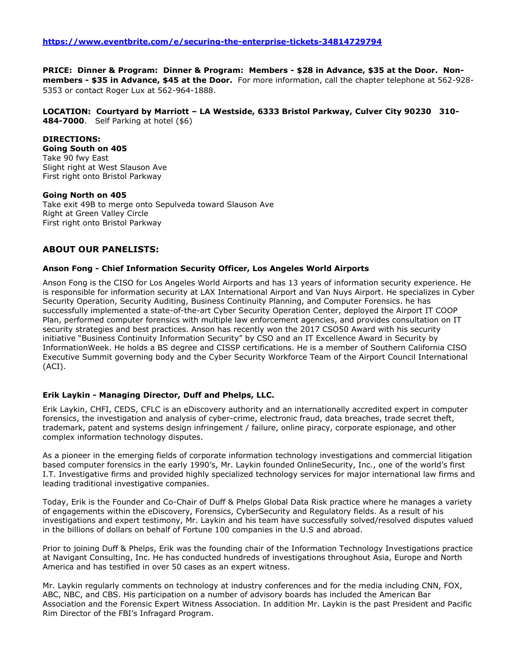#### **PRICE: Dinner & Program: Dinner & Program: Members - \$28 in Advance, \$35 at the Door. Non-**

**members - \$35 in Advance, \$45 at the Door.** For more information, call the chapter telephone at 562-928- 5353 or contact Roger Lux at 562-964-1888.

**LOCATION: Courtyard by Marriott – LA Westside, 6333 Bristol Parkway, Culver City 90230 310- 484-7000**. Self Parking at hotel (\$6)

## **DIRECTIONS:**

**Going South on 405** Take 90 fwy East Slight right at West Slauson Ave First right onto Bristol Parkway

#### **Going North on 405**

Take exit 49B to merge onto Sepulveda toward Slauson Ave Right at Green Valley Circle First right onto Bristol Parkway

## **ABOUT OUR PANELISTS:**

### **Anson Fong - Chief Information Security Officer, Los Angeles World Airports**

Anson Fong is the CISO for Los Angeles World Airports and has 13 years of information security experience. He is responsible for information security at LAX International Airport and Van Nuys Airport. He specializes in Cyber Security Operation, Security Auditing, Business Continuity Planning, and Computer Forensics. he has successfully implemented a state-of-the-art Cyber Security Operation Center, deployed the Airport IT COOP Plan, performed computer forensics with multiple law enforcement agencies, and provides consultation on IT security strategies and best practices. Anson has recently won the 2017 CSO50 Award with his security initiative "Business Continuity Information Security" by CSO and an IT Excellence Award in Security by InformationWeek. He holds a BS degree and CISSP certifications. He is a member of Southern California CISO Executive Summit governing body and the Cyber Security Workforce Team of the Airport Council International (ACI).

## **Erik Laykin - Managing Director, Duff and Phelps, LLC.**

Erik Laykin, CHFI, CEDS, CFLC is an eDiscovery authority and an internationally accredited expert in computer forensics, the investigation and analysis of cyber-crime, electronic fraud, data breaches, trade secret theft, trademark, patent and systems design infringement / failure, online piracy, corporate espionage, and other complex information technology disputes.

As a pioneer in the emerging fields of corporate information technology investigations and commercial litigation based computer forensics in the early 1990's, Mr. Laykin founded OnlineSecurity, Inc., one of the world's first I.T. Investigative firms and provided highly specialized technology services for major international law firms and leading traditional investigative companies.

Today, Erik is the Founder and Co-Chair of Duff & Phelps Global Data Risk practice where he manages a variety of engagements within the eDiscovery, Forensics, CyberSecurity and Regulatory fields. As a result of his investigations and expert testimony, Mr. Laykin and his team have successfully solved/resolved disputes valued in the billions of dollars on behalf of Fortune 100 companies in the U.S and abroad.

Prior to joining Duff & Phelps, Erik was the founding chair of the Information Technology Investigations practice at Navigant Consulting, Inc. He has conducted hundreds of investigations throughout Asia, Europe and North America and has testified in over 50 cases as an expert witness.

Mr. Laykin regularly comments on technology at industry conferences and for the media including CNN, FOX, ABC, NBC, and CBS. His participation on a number of advisory boards has included the American Bar Association and the Forensic Expert Witness Association. In addition Mr. Laykin is the past President and Pacific Rim Director of the FBI's Infragard Program.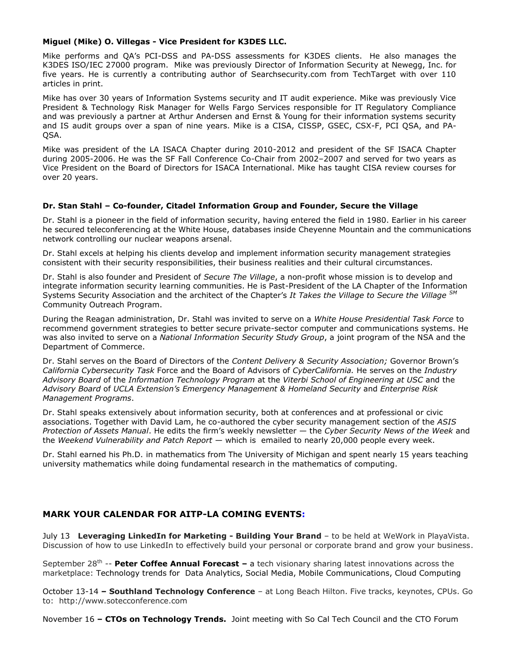#### **Miguel (Mike) O. Villegas - Vice President for K3DES LLC.**

Mike performs and QA's PCI-DSS and PA-DSS assessments for K3DES clients. He also manages the K3DES ISO/IEC 27000 program. Mike was previously Director of Information Security at Newegg, Inc. for five years. He is currently a contributing author of Searchsecurity.com from TechTarget with over 110 articles in print.

Mike has over 30 years of Information Systems security and IT audit experience. Mike was previously Vice President & Technology Risk Manager for Wells Fargo Services responsible for IT Regulatory Compliance and was previously a partner at Arthur Andersen and Ernst & Young for their information systems security and IS audit groups over a span of nine years. Mike is a CISA, CISSP, GSEC, CSX-F, PCI QSA, and PA-QSA.

Mike was president of the LA ISACA Chapter during 2010-2012 and president of the SF ISACA Chapter during 2005-2006. He was the SF Fall Conference Co-Chair from 2002–2007 and served for two years as Vice President on the Board of Directors for ISACA International. Mike has taught CISA review courses for over 20 years.

#### **Dr. Stan Stahl – Co-founder, Citadel Information Group and Founder, Secure the Village**

Dr. Stahl is a pioneer in the field of information security, having entered the field in 1980. Earlier in his career he secured teleconferencing at the White House, databases inside Cheyenne Mountain and the communications network controlling our nuclear weapons arsenal.

Dr. Stahl excels at helping his clients develop and implement information security management strategies consistent with their security responsibilities, their business realities and their cultural circumstances.

Dr. Stahl is also founder and President of *[Secure The Village](https://securethevillage.org/)*, a non-profit whose mission is to develop and integrate information security learning communities. He is Past-President of the LA Chapter of the Information Systems Security Association and the architect of the Chapter's *It Takes the Village to Secure the Village SM* Community Outreach Program.

During the Reagan administration, Dr. Stahl was invited to serve on a *White House Presidential Task Force* to recommend government strategies to better secure private-sector computer and communications systems. He was also invited to serve on a *National Information Security Study Group*, a joint program of the NSA and the Department of Commerce.

Dr. Stahl serves on the Board of Directors of the *[Content Delivery & Security Association;](http://www.cdsaonline.org/)* Governor Brown's *California Cybersecurity Task* Force and the Board of Advisors of *CyberCalifornia.* He serves on the *Industry Advisory Board* of the *Information Technology Program* at the *Viterbi School of Engineering at USC* and the *Advisory Board* of *UCLA Extension's Emergency Management & Homeland Security* and *Enterprise Risk Management Programs*.

Dr. Stahl [speaks e](http://citadel-information.com/services/keynotes/)xtensively about information security, both at conferences and at professional or civic associations. Together with David Lam, he co-authored the cyber security management section of the *ASIS Protection of Assets Manual*. He edits the firm's weekly newsletter — the *Cyber Security News of the Week* and the *Weekend Vulnerability and Patch Report* — which is emailed to nearly 20,000 people every week.

Dr. Stahl earned his Ph.D. in mathematics from The University of Michigan and spent nearly 15 years teaching university mathematics while doing fundamental research in the mathematics of computing.

## **MARK YOUR CALENDAR FOR AITP-LA COMING EVENTS:**

July 13 **Leveraging LinkedIn for Marketing - Building Your Brand** – to be held at WeWork in PlayaVista. Discussion of how to use LinkedIn to effectively build your personal or corporate brand and grow your business.

September 28<sup>th</sup> -- Peter Coffee Annual Forecast - a tech visionary sharing latest innovations across the marketplace: Technology trends for Data Analytics, Social Media, Mobile Communications, Cloud Computing

October 13-14 **– Southland Technology Conference** – at Long Beach Hilton. Five tracks, keynotes, CPUs. Go to: http://www.sotecconference.com

November 16 **– CTOs on Technology Trends.** Joint meeting with So Cal Tech Council and the CTO Forum